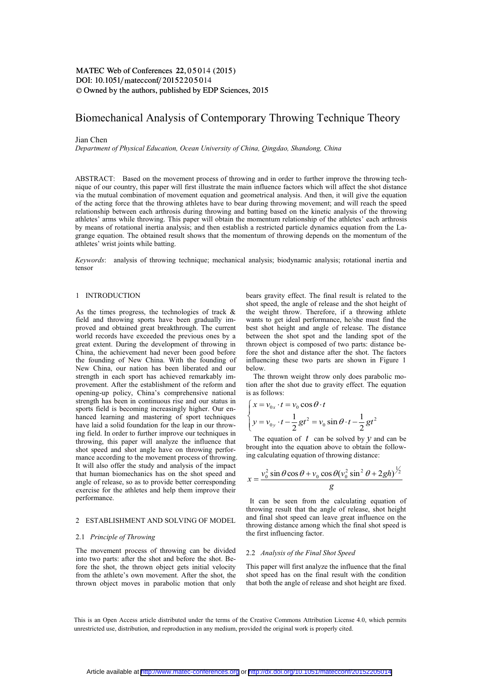# MATEC Web of Conferences 22,05014<br>DOI: 10.1051/matecconf/20152205014 -<sup>C</sup> Owned by the authors, published by EDP Sciences, 2015 MATEC Web of Conferences 22,05014 (2015)

# Biomechanical Analysis of Contemporary Throwing Technique Theory

## Jian Chen

*Department of Physical Education, Ocean University of China, Qingdao, Shandong, China* 

ABSTRACT: Based on the movement process of throwing and in order to further improve the throwing technique of our country, this paper will first illustrate the main influence factors which will affect the shot distance via the mutual combination of movement equation and geometrical analysis. And then, it will give the equation of the acting force that the throwing athletes have to bear during throwing movement; and will reach the speed relationship between each arthrosis during throwing and batting based on the kinetic analysis of the throwing athletes' arms while throwing. This paper will obtain the momentum relationship of the athletes' each arthrosis by means of rotational inertia analysis; and then establish a restricted particle dynamics equation from the Lagrange equation. The obtained result shows that the momentum of throwing depends on the momentum of the athletes' wrist joints while batting.

*Keywords*: analysis of throwing technique; mechanical analysis; biodynamic analysis; rotational inertia and tensor

### 1 INTRODUCTION

As the times progress, the technologies of track  $\&$ field and throwing sports have been gradually improved and obtained great breakthrough. The current world records have exceeded the previous ones by a great extent. During the development of throwing in China, the achievement had never been good before the founding of New China. With the founding of New China, our nation has been liberated and our strength in each sport has achieved remarkably improvement. After the establishment of the reform and opening-up policy, China's comprehensive national strength has been in continuous rise and our status in sports field is becoming increasingly higher. Our enhanced learning and mastering of sport techniques have laid a solid foundation for the leap in our throwing field. In order to further improve our techniques in throwing, this paper will analyze the influence that shot speed and shot angle have on throwing performance according to the movement process of throwing. It will also offer the study and analysis of the impact that human biomechanics has on the shot speed and angle of release, so as to provide better corresponding exercise for the athletes and help them improve their performance.

#### 2 ESTABLISHMENT AND SOLVING OF MODEL

### 2.1 *Principle of Throwing*

The movement process of throwing can be divided into two parts: after the shot and before the shot. Before the shot, the thrown object gets initial velocity from the athlete's own movement. After the shot, the thrown object moves in parabolic motion that only

bears gravity effect. The final result is related to the shot speed, the angle of release and the shot height of the weight throw. Therefore, if a throwing athlete wants to get ideal performance, he/she must find the best shot height and angle of release. The distance between the shot spot and the landing spot of the thrown object is composed of two parts: distance before the shot and distance after the shot. The factors influencing these two parts are shown in Figure 1 below.

The thrown weight throw only does parabolic motion after the shot due to gravity effect. The equation is as follows:

$$
\begin{cases}\nx = v_{0x} \cdot t = v_0 \cos \theta \cdot t \\
y = v_{0y} \cdot t - \frac{1}{2}gt^2 = v_0 \sin \theta \cdot t - \frac{1}{2}gt^2\n\end{cases}
$$

The equation of  $t$  can be solved by  $y$  and can be brought into the equation above to obtain the following calculating equation of throwing distance:

$$
x = \frac{v_0^2 \sin \theta \cos \theta + v_0 \cos \theta (v_0^2 \sin^2 \theta + 2gh)^{\frac{1}{2}}}{g}
$$

 It can be seen from the calculating equation of throwing result that the angle of release, shot height and final shot speed can leave great influence on the throwing distance among which the final shot speed is the first influencing factor.

# 2.2 *Analysis of the Final Shot Speed*

This paper will first analyze the influence that the final shot speed has on the final result with the condition that both the angle of release and shot height are fixed.

This is an Open Access article distributed under the terms of the Creative Commons Attribution License 4.0, which permits unrestricted use, distribution, and reproduction in any medium, provided the original work is properly cited.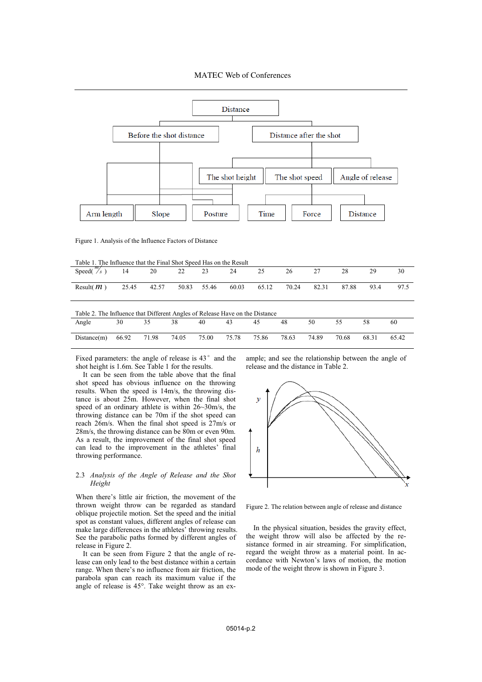## MATEC Web of Conferences



Figure 1. Analysis of the Influence Factors of Distance

| . m.<br>Speed $(\frac{m}{s})$<br>27<br>20<br>22<br>25<br>26<br>23<br>24<br>14         | 28<br>29<br>30          |
|---------------------------------------------------------------------------------------|-------------------------|
| Result( $m$ )<br>42.57<br>50.83<br>60.03<br>65.12<br>70.24<br>82.31<br>25.45<br>55.46 | 87.88<br>93.4<br>97.5   |
| Table 2. The Influence that Different Angles of Release Have on the Distance          |                         |
| 38<br>48<br>50<br>Angle<br>30<br>35<br>40<br>43<br>45                                 | 58<br>55<br>60          |
| 66.92<br>71.98<br>75.78<br>78.63<br>74.89<br>75.00<br>75.86<br>Distance(m)<br>74.05   | 68.31<br>70.68<br>65.42 |

Fixed parameters: the angle of release is 43° and the shot height is 1.6m. See Table 1 for the results.

It can be seen from the table above that the final shot speed has obvious influence on the throwing results. When the speed is 14m/s, the throwing distance is about 25m. However, when the final shot speed of an ordinary athlete is within 26~30m/s, the throwing distance can be 70m if the shot speed can reach 26m/s. When the final shot speed is 27m/s or 28m/s, the throwing distance can be 80m or even 90m. As a result, the improvement of the final shot speed can lead to the improvement in the athletes' final throwing performance.

### 2.3 *Analysis of the Angle of Release and the Shot Height*

When there's little air friction, the movement of the thrown weight throw can be regarded as standard oblique projectile motion. Set the speed and the initial spot as constant values, different angles of release can make large differences in the athletes' throwing results. See the parabolic paths formed by different angles of release in Figure 2.

It can be seen from Figure 2 that the angle of release can only lead to the best distance within a certain range. When there's no influence from air friction, the parabola span can reach its maximum value if the angle of release is 45°. Take weight throw as an example; and see the relationship between the angle of release and the distance in Table 2.



Figure 2. The relation between angle of release and distance

In the physical situation, besides the gravity effect, the weight throw will also be affected by the resistance formed in air streaming. For simplification, regard the weight throw as a material point. In accordance with Newton's laws of motion, the motion mode of the weight throw is shown in Figure 3.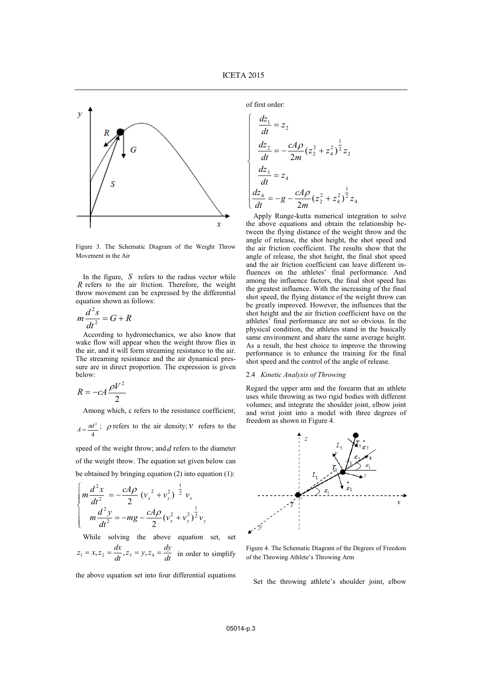

Figure 3. The Schematic Diagram of the Weight Throw Movement in the Air

In the figure, *S* refers to the radius vector while *R* refers to the air friction. Therefore, the weight throw movement can be expressed by the differential equation shown as follows:

$$
m\frac{d^2s}{dt^2} = G + R
$$

According to hydromechanics, we also know that wake flow will appear when the weight throw flies in the air, and it will form streaming resistance to the air. The streaming resistance and the air dynamical pressure are in direct proportion. The expression is given below:

$$
R = -cA \frac{\rho V^2}{2}
$$

Among which, c refers to the resistance coefficient;

 $A = \frac{\pi d^2}{4}$ ;  $\rho$  refers to the air density; *V* refers to the

speed of the weight throw; and *d* refers to the diameter of the weight throw. The equation set given below can be obtained by bringing equation (2) into equation (1):

$$
\begin{cases}\n m \frac{d^2 x}{dt^2} = -\frac{cA \rho}{2} (v_x^2 + v_y^2)^{\frac{1}{2}} v_x \\
 m \frac{d^2 y}{dt^2} = -mg - \frac{cA \rho}{2} (v_x^2 + v_y^2)^{\frac{1}{2}} v_y\n\end{cases}
$$

While solving the above equation set, set  $z_1 = x, z_2 = \frac{dx}{dt}, z_3 = y, z_4 = \frac{dy}{dt}$  in order to simplify

the above equation set into four differential equations

of first order:

$$
\begin{cases}\n\frac{dz_1}{dt} = z_2 \\
\frac{dz_2}{dt} = -\frac{cA\rho}{2m}(z_2^2 + z_4^2)^{\frac{1}{2}} z_2 \\
\frac{dz_3}{dt} = z_4 \\
\frac{dz_4}{dt} = -g - \frac{cA\rho}{2m}(z_2^2 + z_4^2)^{\frac{1}{2}} z_4\n\end{cases}
$$

Apply Runge-kutta numerical integration to solve the above equations and obtain the relationship between the flying distance of the weight throw and the angle of release, the shot height, the shot speed and the air friction coefficient. The results show that the angle of release, the shot height, the final shot speed and the air friction coefficient can leave different influences on the athletes' final performance. And among the influence factors, the final shot speed has the greatest influence. With the increasing of the final shot speed, the flying distance of the weight throw can be greatly improved. However, the influences that the shot height and the air friction coefficient have on the athletes' final performance are not so obvious. In the physical condition, the athletes stand in the basically same environment and share the same average height. As a result, the best choice to improve the throwing performance is to enhance the training for the final shot speed and the control of the angle of release.

#### 2.4 *Kinetic Analysis of Throwing*

Regard the upper arm and the forearm that an athlete uses while throwing as two rigid bodies with different volumes; and integrate the shoulder joint, elbow joint and wrist joint into a model with three degrees of freedom as shown in Figure 4.



Figure 4. The Schematic Diagram of the Degrees of Freedom of the Throwing Athlete's Throwing Arm

Set the throwing athlete's shoulder joint, elbow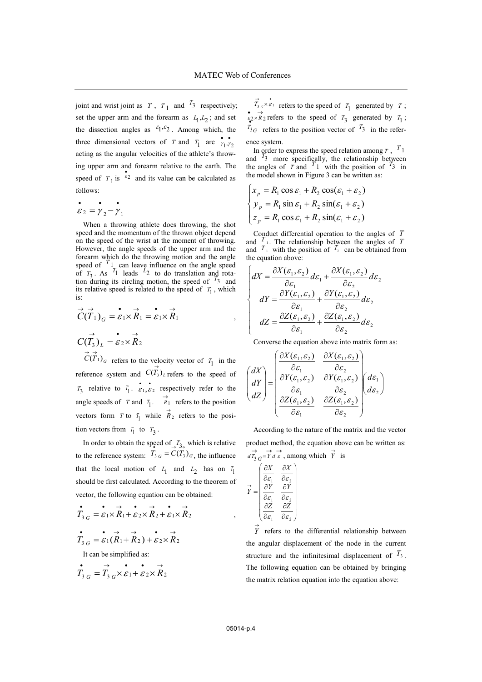joint and wrist joint as  $T$ ,  $T_1$  and  $T_3$  respectively; set the upper arm and the forearm as  $L_1, L_2$ ; and set the dissection angles as  $\epsilon_1, \epsilon_2$ . Among which, the three dimensional vectors of *T* and  $T_1$  are  $\frac{1}{\gamma_1, \gamma_2}$ acting as the angular velocities of the athlete's throwing upper arm and forearm relative to the earth. The speed of  $T_1$  is  $\int_1^2$  and its value can be calculated as follows:

$$
\boldsymbol{\varepsilon}_2 = \boldsymbol{\gamma}_2 - \boldsymbol{\gamma}_1
$$

When a throwing athlete does throwing, the shot speed and the momentum of the thrown object depend on the speed of the wrist at the moment of throwing. However, the angle speeds of the upper arm and the forearm which do the throwing motion and the angle speed of  $T_{1}$  can leave influence on the angle speed of  $T_3$ . As  $T_1$  leads  $L_2$  to do translation and rotation during its circling motion, the speed of  $T_3$  and its relative speed is related to the speed of  $T_1$ , which is:

$$
\vec{C}(\vec{T}_1)_{G} = \vec{\varepsilon}_1 \times \vec{R}_1 = \vec{\varepsilon}_1 \times \vec{R}_1
$$
  

$$
\vec{C}(\vec{T}_3)_{L} = \vec{\varepsilon}_2 \times \vec{R}_2
$$

 $\vec{C}(\vec{T}_1)_{G}$  refers to the velocity vector of  $T_1$  in the reference system and  $\overrightarrow{C(T_3)}_L$  refers to the speed of  $T_3$  relative to  $T_1$ .  $\mathcal{E}_1, \mathcal{E}_2$  respectively refer to the angle speeds of *T* and  $T_1$ .  $\overrightarrow{R_1}$  refers to the position vectors form *T* to  $T_1$  while  $\overrightarrow{R}_2$  refers to the position vectors from  $T_1$  to  $T_3$ .

In order to obtain the speed of  $\frac{7}{2}$  which is relative to the reference system:  $T_{\frac{3}{G}} = C(T_{\frac{3}{3}})_{G}$ , the influence that the local motion of  $L_1$  and  $L_2$  has on  $T_1$ should be first calculated. According to the theorem of vector, the following equation can be obtained:

$$
\vec{T}_{3\,G} = \vec{\varepsilon}_1 \times \vec{R}_1 + \vec{\varepsilon}_2 \times \vec{R}_2 + \vec{\varepsilon}_1 \times \vec{R}_2
$$
\n
$$
\vec{T}_{3\,G} = \vec{\varepsilon}_1 (\vec{R}_1 + \vec{R}_2) + \vec{\varepsilon}_2 \times \vec{R}_2
$$

It can be simplified as:

$$
\vec{T}_{3\,G} = \vec{T}_{3\,G} \times \vec{\varepsilon}_1 + \vec{\varepsilon}_2 \times \vec{R}_2
$$

 $\vec{T}_{3}$   $\vec{G} \times \vec{\epsilon}_1$  refers to the speed of  $T_1$  generated by  $T$ ;  $\epsilon_2 \times R_2$  refers to the speed of  $T_3$  generated by  $T_1$ ;  $^{T_3}G$  refers to the position vector of  $^{T_3}$  in the reference system.

In order to express the speed relation among  $T$ ,  $T_1$ and  $T_3$  more specifically, the relationship between the angles of  $T$  and  $T_1$  with the position of  $T_3$  in the model shown in Figure 3 can be written as:

$$
\begin{cases}\nx_p = R_1 \cos \varepsilon_1 + R_2 \cos(\varepsilon_1 + \varepsilon_2) \\
y_p = R_1 \sin \varepsilon_1 + R_2 \sin(\varepsilon_1 + \varepsilon_2) \\
z_p = R_1 \cos \varepsilon_1 + R_2 \sin(\varepsilon_1 + \varepsilon_2)\n\end{cases}
$$

Conduct differential operation to the angles of *T* and  $T_{\perp}$ . The relationship between the angles of *T* and  $T_1$  with the position of  $T_3$  can be obtained from the equation above:

$$
\begin{cases}\n dX = \frac{\partial X(\varepsilon_1, \varepsilon_2)}{\partial \varepsilon_1} d\varepsilon_1 + \frac{\partial X(\varepsilon_1, \varepsilon_2)}{\partial \varepsilon_2} d\varepsilon_2 \\
 dY = \frac{\partial Y(\varepsilon_1, \varepsilon_2)}{\partial \varepsilon_1} + \frac{\partial Y(\varepsilon_1, \varepsilon_2)}{\partial \varepsilon_2} d\varepsilon_2 \\
 dZ = \frac{\partial Z(\varepsilon_1, \varepsilon_2)}{\partial \varepsilon_1} + \frac{\partial Z(\varepsilon_1, \varepsilon_2)}{\partial \varepsilon_2} d\varepsilon_2\n\end{cases}
$$

Converse the equation above into matrix form as:

$$
\begin{pmatrix} dX \\ dY \\ dZ \end{pmatrix} = \begin{pmatrix} \frac{\partial X(\varepsilon_1, \varepsilon_2)}{\partial \varepsilon_1} & \frac{\partial X(\varepsilon_1, \varepsilon_2)}{\partial \varepsilon_2} \\ \frac{\partial Y(\varepsilon_1, \varepsilon_2)}{\partial \varepsilon_1} & \frac{\partial Y(\varepsilon_1, \varepsilon_2)}{\partial \varepsilon_2} \\ \frac{\partial Z(\varepsilon_1, \varepsilon_2)}{\partial \varepsilon_1} & \frac{\partial Z(\varepsilon_1, \varepsilon_2)}{\partial \varepsilon_2} \end{pmatrix} \begin{pmatrix} d\varepsilon_1 \\ d\varepsilon_2 \end{pmatrix}
$$

According to the nature of the matrix and the vector product method, the equation above can be written as:  $d\overrightarrow{T}_{3}$   $\overrightarrow{G} = Y d \overrightarrow{\varepsilon}$ , among which  $\overrightarrow{Y}$  is

$$
\vec{Y} = \begin{pmatrix} \frac{\partial X}{\partial \varepsilon_1} & \frac{\partial X}{\partial \varepsilon_2} \\ \frac{\partial Y}{\partial \varepsilon_1} & \frac{\partial Y}{\partial \varepsilon_2} \\ \frac{\partial Z}{\partial \varepsilon_1} & \frac{\partial Z}{\partial \varepsilon_2} \end{pmatrix}
$$

 $\overrightarrow{Y}$  refers to the differential relationship between the angular displacement of the node in the current structure and the infinitesimal displacement of  $T_3$ . The following equation can be obtained by bringing the matrix relation equation into the equation above: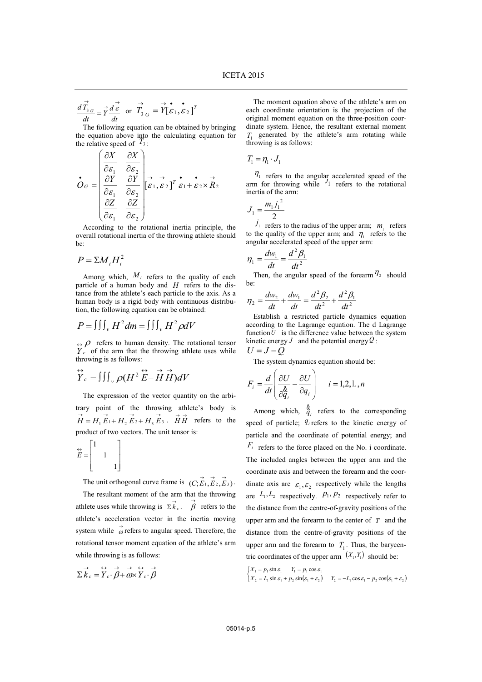$$
\frac{d\vec{T}_{3\,G}}{dt} = \vec{Y}\frac{d\vec{\epsilon}}{dt} \text{ or } \vec{T}_{3\,G} = \vec{Y}[\vec{\epsilon}_{1}, \vec{\epsilon}_{2}]^{T}
$$

The following equation can be obtained by bringing the equation above into the calculating equation for the relative speed of  $T_3$ :

$$
\dot{O}_G = \begin{pmatrix} \frac{\partial X}{\partial \varepsilon_1} & \frac{\partial X}{\partial \varepsilon_2} \\ \frac{\partial Y}{\partial \varepsilon_1} & \frac{\partial Y}{\partial \varepsilon_2} \\ \frac{\partial Z}{\partial \varepsilon_1} & \frac{\partial Z}{\partial \varepsilon_2} \end{pmatrix} \vec{\varepsilon}_1, \vec{\varepsilon}_2 \vec{\varepsilon}_1 + \vec{\varepsilon}_2 \times \vec{R}_2
$$

According to the rotational inertia principle, the overall rotational inertia of the throwing athlete should be:

$$
P = \sum M_i H_i^2
$$

Among which,  $M_i$  refers to the quality of each particle of a human body and *H* refers to the distance from the athlete's each particle to the axis. As a human body is a rigid body with continuous distribution, the following equation can be obtained:

$$
P = \iiint_{V} H^2 dm = \iiint_{V} H^2 \rho dV
$$

 $\rho$  refers to human density. The rotational tensor  $Y_c$  of the arm that the throwing athlete uses while throwing is as follows:

$$
\overleftrightarrow{Y}_c = \iiint_{V} \rho (H^2 \overleftrightarrow{E} - \overrightarrow{H} \overrightarrow{H}) dV
$$

The expression of the vector quantity on the arbitrary point of the throwing athlete's body is  $_1 E_1 + H_2 E_2 + H_3 E_3$  $\overrightarrow{H} = H_1 \overrightarrow{E}_1 + H_2 \overrightarrow{E}_2 + H_3 \overrightarrow{E}_3$ .  $\overrightarrow{H} \overrightarrow{H}$  refers to the product of two vectors. The unit tensor is:

$$
\overrightarrow{E} = \begin{bmatrix} 1 & & \\ & 1 & \\ & & 1 \end{bmatrix}
$$

The unit orthogonal curve frame is  $(C; \vec{E}_1, \vec{E}_2, \vec{E}_3)$ .

The resultant moment of the arm that the throwing athlete uses while throwing is  $\vec{\Sigma} \times \vec{k}_c$ .  $\vec{\beta}$  refers to the athlete's acceleration vector in the inertia moving system while  $\vec{\omega}$  refers to angular speed. Therefore, the rotational tensor moment equation of the athlete's arm while throwing is as follows:

$$
\sum \vec{k}_c = \vec{Y}_c \cdot \vec{\beta} + \vec{\omega} \times \vec{Y}_c \cdot \vec{\beta}
$$

The moment equation above of the athlete's arm on each coordinate orientation is the projection of the original moment equation on the three-position coordinate system. Hence, the resultant external moment  $T_1$  generated by the athlete's arm rotating while throwing is as follows:

$$
T_1 = \eta_1 \cdot J_1
$$

 $\eta_1$  refers to the angular accelerated speed of the arm for throwing while  $J_1$  refers to the rotational inertia of the arm:

$$
J_1 = \frac{m_1 j_1^2}{2}
$$

 $j_1$  refers to the radius of the upper arm;  $m_1$  refers to the quality of the upper arm; and  $\eta_1$  refers to the angular accelerated speed of the upper arm:

$$
\eta_1 = \frac{dw_1}{dt} = \frac{d^2\beta_1}{dt^2}
$$

Then, the angular speed of the forearm  $\eta_2$  should be:

$$
\eta_2 = \frac{dw_2}{dt} + \frac{dw_1}{dt} = \frac{d^2\beta_2}{dt^2} + \frac{d^2\beta_1}{dt^2}
$$

Establish a restricted particle dynamics equation according to the Lagrange equation. The d Lagrange function  $U$  is the difference value between the system kinetic energy  $J$  and the potential energy  $Q$ :  $U = J - Q$ 

The system dynamics equation should be:

$$
F_i = \frac{d}{dt} \left( \frac{\partial U}{\partial \dot{q}_i} - \frac{\partial U}{\partial q_i} \right) \quad i = 1, 2, L, n
$$

Among which,  $\frac{\&}{q_i}$  refers to the corresponding speed of particle;  $q_i$  refers to the kinetic energy of particle and the coordinate of potential energy; and  $F_i$  refers to the force placed on the No. i coordinate. The included angles between the upper arm and the coordinate axis and between the forearm and the coordinate axis are  $\varepsilon_1, \varepsilon_2$  respectively while the lengths are  $L_1, L_2$  respectively.  $p_1, p_2$  respectively refer to the distance from the centre-of-gravity positions of the upper arm and the forearm to the center of *T* and the distance from the centre-of-gravity positions of the upper arm and the forearm to  $T_1$ . Thus, the barycentric coordinates of the upper arm  $(X_1, Y_1)$  should be:

$$
\begin{cases}\nX_1 = p_1 \sin \varepsilon_1 & Y_1 = p_1 \cos \varepsilon_1 \\
X_2 = L_1 \sin \varepsilon_1 + p_2 \sin(\varepsilon_1 + \varepsilon_2) & Y_2 = -L_1 \cos \varepsilon_1 - p_2 \cos(\varepsilon_1 + \varepsilon_2)\n\end{cases}
$$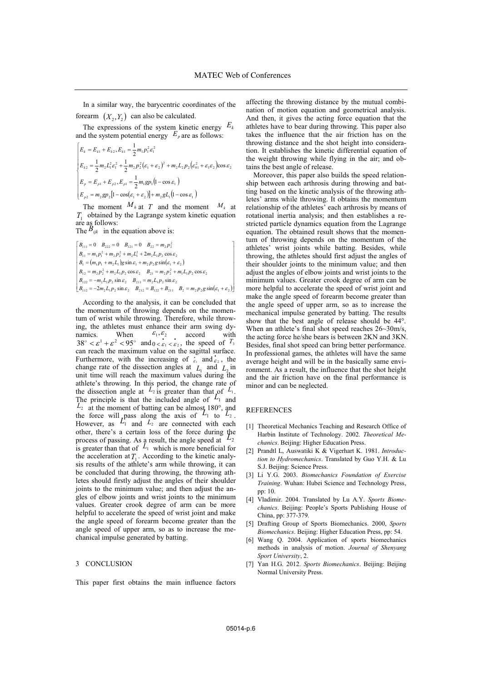In a similar way, the barycentric coordinates of the forearm  $(X_2, Y_2)$  can also be calculated.

The expressions of the system kinetic energy  $E_k$ and the system potential energy  $E_p$  are as follows:

$$
\begin{cases}\nE_k = E_{k1} + E_{k2}, E_{k1} = \frac{1}{2} m_1 p_1^2 \varepsilon_1^2 \\
E_{k2} = \frac{1}{2} m_2 L_1^2 \varepsilon_1^2 + \frac{1}{2} m_2 p_2^2 (\varepsilon_1 + \varepsilon_2)^2 + m_2 L_2 p_2 (\varepsilon_{01}^2 + \varepsilon_1 \varepsilon_2) \cos \varepsilon_2 \\
E_p = E_{p1} + E_{p2}, E_{p1} = \frac{1}{2} m_1 g p_1 (1 - \cos \varepsilon_1) \\
E_{p2} = m_2 g p_2 [1 - \cos(\varepsilon_1 + \varepsilon_2)] + m_2 g L_1 (1 - \cos \varepsilon_1)\n\end{cases}
$$

The moment  $M_h$  at *T* and the moment  $M_k$  at *T*<sub>1</sub> obtained by the Lagrange system kinetic equation are as follows:<br>The  $B_{ijk}$  in the equation above is:

$$
B_{111} = 0 \t B_{222} = 0 \t B_{121} = 0 \t B_{22} = m_2 p_2^2
$$
  
\n
$$
B_{11} = m_1 p_1^2 + m_2 p_2^2 + m_2 L_1^2 + 2 m_2 L_1 p_2 \cos \varepsilon_2
$$
  
\n
$$
B_1 = (m_1 p_1 + m_2 L_1) g \sin \varepsilon_1 + m_2 p_2 g \sin(\varepsilon_1 + \varepsilon_2)
$$
  
\n
$$
B_{12} = m_2 p_2^2 + m_2 L_1 p_2 \cos \varepsilon_2 \t B_{21} = m_2 p_2^2 + m_1 L_1 p_2 \cos \varepsilon_2
$$
  
\n
$$
B_{122} = -m_2 L_1 p_2 \sin \varepsilon_2 \t B_{211} = m_2 L_1 p_2 \sin \varepsilon_2
$$
  
\n
$$
B_{112} = -2 m_2 L_1 p_2 \sin \varepsilon_2 \t B_{212} = B_{122} + B_{211} \t B_2 = m_2 p_2 g \sin(\varepsilon_1 + \varepsilon_2)
$$

According to the analysis, it can be concluded that the momentum of throwing depends on the momentum of wrist while throwing. Therefore, while throwing, the athletes must enhance their arm swing dynamics. When  $\varepsilon_1, \varepsilon_2$  accord with namics. When  $\varepsilon_1, \varepsilon_2$  accord with  $38^\circ < \varepsilon^1 + \varepsilon^2 < 95^\circ$  and  $0 < \varepsilon_1 < \varepsilon_2$ , the speed of  $T_3$ can reach the maximum value on the sagittal surface. Furthermore, with the increasing of  $\sum_{\varepsilon_1}$  and  $\sum_{\varepsilon_2}$ , the change rate of the dissection angles at  $L_1$  and  $L_2$  in unit time will reach the maximum values during the athlete's throwing. In this period, the change rate of the dissection angle at  $L_2$  is greater than that of  $L_1$ . The principle is that the included angle of  $L_1^2$  and  $L_2$  at the moment of batting can be almost 180°, and the force will pass along the axis of  $L_1$  to  $L_2$ . However, as  $L_1^{\text{Puss} \text{ along } L_2}$  are connected with each other, there's a certain loss of the force during the process of passing. As a result, the angle speed at  $L_2$ is greater than that of  $L_1$  which is more beneficial for the acceleration at  $T<sub>1</sub>$ . According to the kinetic analysis results of the athlete's arm while throwing, it can be concluded that during throwing, the throwing athletes should firstly adjust the angles of their shoulder joints to the minimum value; and then adjust the angles of elbow joints and wrist joints to the minimum values. Greater crook degree of arm can be more helpful to accelerate the speed of wrist joint and make the angle speed of forearm become greater than the angle speed of upper arm, so as to increase the mechanical impulse generated by batting.

#### 3 CONCLUSION

This paper first obtains the main influence factors

affecting the throwing distance by the mutual combination of motion equation and geometrical analysis. And then, it gives the acting force equation that the athletes have to bear during throwing. This paper also takes the influence that the air friction has on the throwing distance and the shot height into consideration. It establishes the kinetic differential equation of the weight throwing while flying in the air; and obtains the best angle of release.

Moreover, this paper also builds the speed relationship between each arthrosis during throwing and batting based on the kinetic analysis of the throwing athletes' arms while throwing. It obtains the momentum relationship of the athletes' each arthrosis by means of rotational inertia analysis; and then establishes a restricted particle dynamics equation from the Lagrange equation. The obtained result shows that the momentum of throwing depends on the momentum of the athletes' wrist joints while batting. Besides, while throwing, the athletes should first adjust the angles of their shoulder joints to the minimum value; and then adjust the angles of elbow joints and wrist joints to the minimum values. Greater crook degree of arm can be more helpful to accelerate the speed of wrist joint and make the angle speed of forearm become greater than the angle speed of upper arm, so as to increase the mechanical impulse generated by batting. The results show that the best angle of release should be 44°. When an athlete's final shot speed reaches 26~30m/s, the acting force he/she bears is between 2KN and 3KN. Besides, final shot speed can bring better performance. In professional games, the athletes will have the same average height and will be in the basically same environment. As a result, the influence that the shot height and the air friction have on the final performance is minor and can be neglected.

#### REFERENCES

- [1] Theoretical Mechanics Teaching and Research Office of Harbin Institute of Technology. 2002. *Theoretical Mechanics*. Beijing: Higher Education Press.
- [2] Prandtl L, Auswatiki K & Vigerhart K. 1981. *Introduction to Hydromechanics*. Translated by Guo Y.H. & Lu S.J. Beijing: Science Press.
- [3] Li Y.G. 2003. *Biomechanics Foundation of Exercise Training*. Wuhan: Hubei Science and Technology Press, pp: 10.
- [4] Vladimir. 2004. Translated by Lu A.Y. *Sports Biomechanics*. Beijing: People's Sports Publishing House of China, pp: 377-379.
- [5] Drafting Group of Sports Biomechanics. 2000, *Sports Biomechanics*. Beijing: Higher Education Press, pp: 54.
- [6] Wang Q. 2004. Application of sports biomechanics methods in analysis of motion. *Journal of Shenyang Sport University*, 2.
- [7] Yan H.G. 2012. *Sports Biomechanics*. Beijing: Beijing Normal University Press.